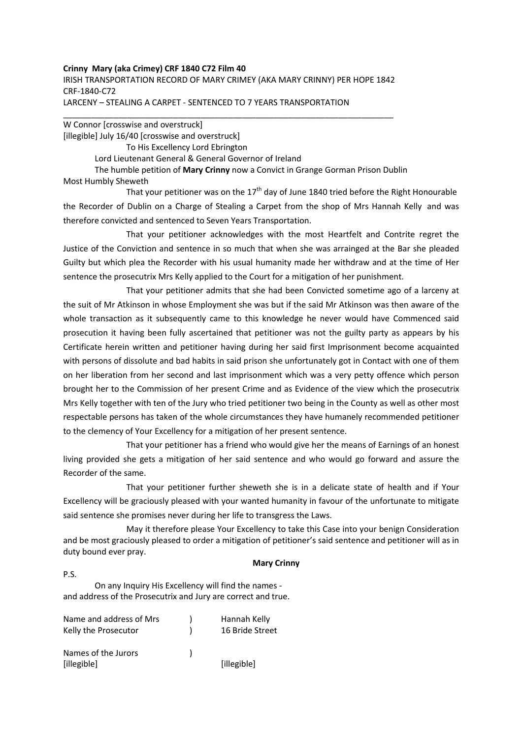### **Crinny Mary (aka Crimey) CRF 1840 C72 Film 40**

IRISH TRANSPORTATION RECORD OF MARY CRIMEY (AKA MARY CRINNY) PER HOPE 1842 CRF-1840-C72 LARCENY – STEALING A CARPET - SENTENCED TO 7 YEARS TRANSPORTATION

\_\_\_\_\_\_\_\_\_\_\_\_\_\_\_\_\_\_\_\_\_\_\_\_\_\_\_\_\_\_\_\_\_\_\_\_\_\_\_\_\_\_\_\_\_\_\_\_\_\_\_\_\_\_\_\_\_\_\_\_\_\_\_\_\_\_\_\_\_\_\_\_

W Connor [crosswise and overstruck] [illegible] July 16/40 [crosswise and overstruck] To His Excellency Lord Ebrington Lord Lieutenant General & General Governor of Ireland The humble petition of **Mary Crinny** now a Convict in Grange Gorman Prison Dublin Most Humbly Sheweth

That your petitioner was on the  $17<sup>th</sup>$  day of June 1840 tried before the Right Honourable the Recorder of Dublin on a Charge of Stealing a Carpet from the shop of Mrs Hannah Kelly and was therefore convicted and sentenced to Seven Years Transportation.

 That your petitioner acknowledges with the most Heartfelt and Contrite regret the Justice of the Conviction and sentence in so much that when she was arrainged at the Bar she pleaded Guilty but which plea the Recorder with his usual humanity made her withdraw and at the time of Her sentence the prosecutrix Mrs Kelly applied to the Court for a mitigation of her punishment.

 That your petitioner admits that she had been Convicted sometime ago of a larceny at the suit of Mr Atkinson in whose Employment she was but if the said Mr Atkinson was then aware of the whole transaction as it subsequently came to this knowledge he never would have Commenced said prosecution it having been fully ascertained that petitioner was not the guilty party as appears by his Certificate herein written and petitioner having during her said first Imprisonment become acquainted with persons of dissolute and bad habits in said prison she unfortunately got in Contact with one of them on her liberation from her second and last imprisonment which was a very petty offence which person brought her to the Commission of her present Crime and as Evidence of the view which the prosecutrix Mrs Kelly together with ten of the Jury who tried petitioner two being in the County as well as other most respectable persons has taken of the whole circumstances they have humanely recommended petitioner to the clemency of Your Excellency for a mitigation of her present sentence.

 That your petitioner has a friend who would give her the means of Earnings of an honest living provided she gets a mitigation of her said sentence and who would go forward and assure the Recorder of the same.

 That your petitioner further sheweth she is in a delicate state of health and if Your Excellency will be graciously pleased with your wanted humanity in favour of the unfortunate to mitigate said sentence she promises never during her life to transgress the Laws.

 May it therefore please Your Excellency to take this Case into your benign Consideration and be most graciously pleased to order a mitigation of petitioner's said sentence and petitioner will as in duty bound ever pray.

#### **Mary Crinny**

P.S.

On any Inquiry His Excellency will find the names and address of the Prosecutrix and Jury are correct and true.

| Name and address of Mrs<br>Kelly the Prosecutor | Hannah Kelly<br>16 Bride Street |
|-------------------------------------------------|---------------------------------|
| Names of the Jurors<br>[illegible]              | [illegible]                     |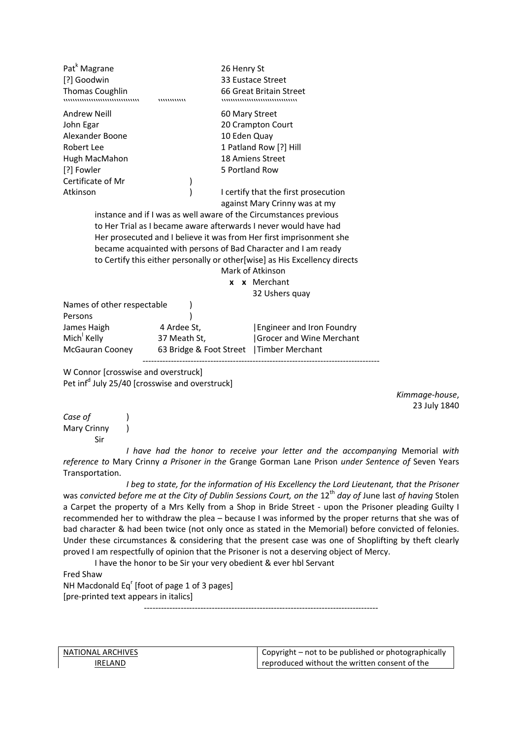| Pat <sup>k</sup> Magrane<br>[?] Goodwin<br><b>Thomas Coughlin</b>          | ,,,,,,,,,,,,, | 26 Henry St<br>33 Eustace Street<br>66 Great Britain Street<br>,,,,,,,,,,,,,,,,,,,,,,,,,,,,,,,,,, |  |  |  |  |
|----------------------------------------------------------------------------|---------------|---------------------------------------------------------------------------------------------------|--|--|--|--|
| <b>Andrew Neill</b>                                                        |               | 60 Mary Street                                                                                    |  |  |  |  |
| John Egar                                                                  |               | 20 Crampton Court                                                                                 |  |  |  |  |
| Alexander Boone                                                            |               | 10 Eden Quay                                                                                      |  |  |  |  |
| Robert Lee                                                                 |               | 1 Patland Row [?] Hill                                                                            |  |  |  |  |
| Hugh MacMahon                                                              |               | 18 Amiens Street                                                                                  |  |  |  |  |
| [?] Fowler                                                                 |               | 5 Portland Row                                                                                    |  |  |  |  |
| Certificate of Mr                                                          |               |                                                                                                   |  |  |  |  |
| Atkinson                                                                   |               | I certify that the first prosecution                                                              |  |  |  |  |
|                                                                            |               | against Mary Crinny was at my                                                                     |  |  |  |  |
| instance and if I was as well aware of the Circumstances previous          |               |                                                                                                   |  |  |  |  |
| to Her Trial as I became aware afterwards I never would have had           |               |                                                                                                   |  |  |  |  |
| Her prosecuted and I believe it was from Her first imprisonment she        |               |                                                                                                   |  |  |  |  |
| became acquainted with persons of Bad Character and I am ready             |               |                                                                                                   |  |  |  |  |
| to Certify this either personally or other[wise] as His Excellency directs |               |                                                                                                   |  |  |  |  |
| Mark of Atkinson                                                           |               |                                                                                                   |  |  |  |  |
| x x Merchant                                                               |               |                                                                                                   |  |  |  |  |
|                                                                            |               | 32 Ushers quay                                                                                    |  |  |  |  |
| Names of other respectable                                                 |               |                                                                                                   |  |  |  |  |
| Persons                                                                    |               |                                                                                                   |  |  |  |  |
| James Haigh                                                                | 4 Ardee St,   | <b>Engineer and Iron Foundry</b>                                                                  |  |  |  |  |
| Mich Kelly                                                                 | 37 Meath St,  | Grocer and Wine Merchant                                                                          |  |  |  |  |
| McGauran Cooney                                                            |               | 63 Bridge & Foot Street   Timber Merchant                                                         |  |  |  |  |
|                                                                            |               |                                                                                                   |  |  |  |  |

W Connor [crosswise and overstruck] Pet inf<sup>d</sup> July 25/40 [crosswise and overstruck]

> *Kimmage-house*, 23 July 1840

*Case of* ) Mary Crinny ) Sir

 *I have had the honor to receive your letter and the accompanying* Memorial *with reference to* Mary Crinny *a Prisoner in the* Grange Gorman Lane Prison *under Sentence of* Seven Years Transportation.

 *I beg to state, for the information of His Excellency the Lord Lieutenant, that the Prisoner* was *convicted before me at the City of Dublin Sessions Court, on the* 12<sup>th</sup> *day of June last of having* Stolen a Carpet the property of a Mrs Kelly from a Shop in Bride Street - upon the Prisoner pleading Guilty I recommended her to withdraw the plea – because I was informed by the proper returns that she was of bad character & had been twice (not only once as stated in the Memorial) before convicted of felonies. Under these circumstances & considering that the present case was one of Shoplifting by theft clearly proved I am respectfully of opinion that the Prisoner is not a deserving object of Mercy.

I have the honor to be Sir your very obedient & ever hbl Servant

Fred Shaw NH Macdonald Eq<sup>r</sup> [foot of page 1 of 3 pages] [pre-printed text appears in italics] -----------------------------------------------------------------------------------

NATIONAL ARCHIVES IRELAND

Copyright – not to be published or photographically reproduced without the written consent of the